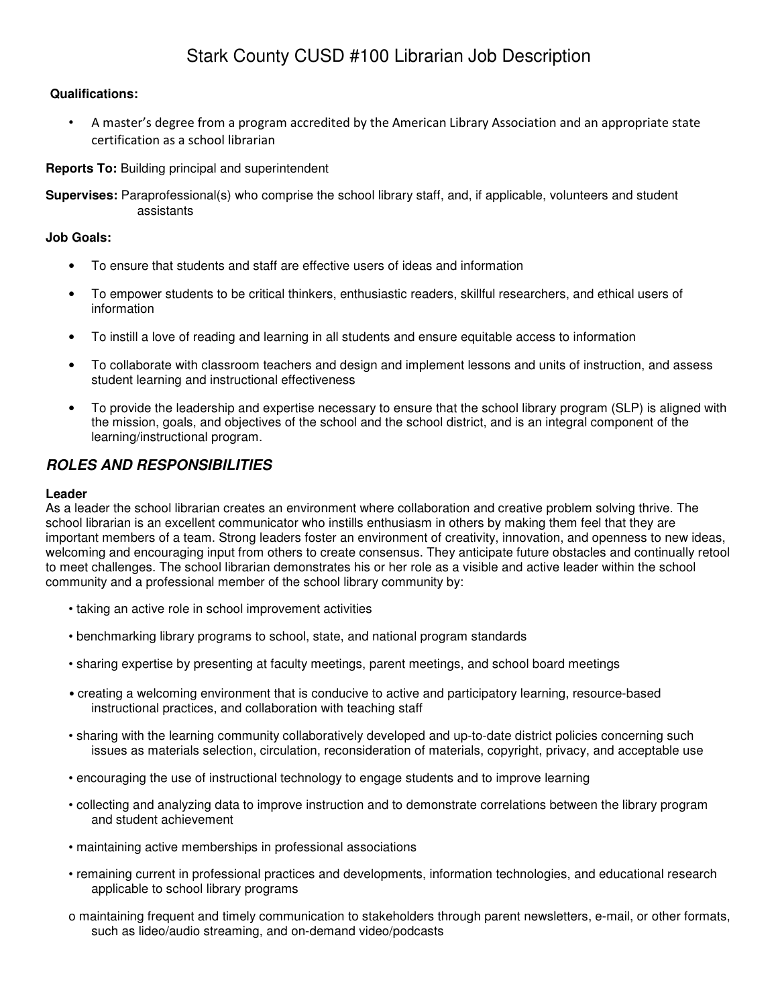# Stark County CUSD #100 Librarian Job Description

## **Qualifications:**

• A master's degree from a program accredited by the American Library Association and an appropriate state certification as a school librarian

**Reports To:** Building principal and superintendent

**Supervises:** Paraprofessional(s) who comprise the school library staff, and, if applicable, volunteers and student assistants

## **Job Goals:**

- To ensure that students and staff are effective users of ideas and information
- To empower students to be critical thinkers, enthusiastic readers, skillful researchers, and ethical users of information
- To instill a love of reading and learning in all students and ensure equitable access to information
- To collaborate with classroom teachers and design and implement lessons and units of instruction, and assess student learning and instructional effectiveness
- To provide the leadership and expertise necessary to ensure that the school library program (SLP) is aligned with the mission, goals, and objectives of the school and the school district, and is an integral component of the learning/instructional program.

## **ROLES AND RESPONSIBILITIES**

### **Leader**

As a leader the school librarian creates an environment where collaboration and creative problem solving thrive. The school librarian is an excellent communicator who instills enthusiasm in others by making them feel that they are important members of a team. Strong leaders foster an environment of creativity, innovation, and openness to new ideas, welcoming and encouraging input from others to create consensus. They anticipate future obstacles and continually retool to meet challenges. The school librarian demonstrates his or her role as a visible and active leader within the school community and a professional member of the school library community by:

- taking an active role in school improvement activities
- benchmarking library programs to school, state, and national program standards
- sharing expertise by presenting at faculty meetings, parent meetings, and school board meetings
- creating a welcoming environment that is conducive to active and participatory learning, resource-based instructional practices, and collaboration with teaching staff
- sharing with the learning community collaboratively developed and up-to-date district policies concerning such issues as materials selection, circulation, reconsideration of materials, copyright, privacy, and acceptable use
- encouraging the use of instructional technology to engage students and to improve learning
- collecting and analyzing data to improve instruction and to demonstrate correlations between the library program and student achievement
- maintaining active memberships in professional associations
- remaining current in professional practices and developments, information technologies, and educational research applicable to school library programs
- o maintaining frequent and timely communication to stakeholders through parent newsletters, e-mail, or other formats, such as lideo/audio streaming, and on-demand video/podcasts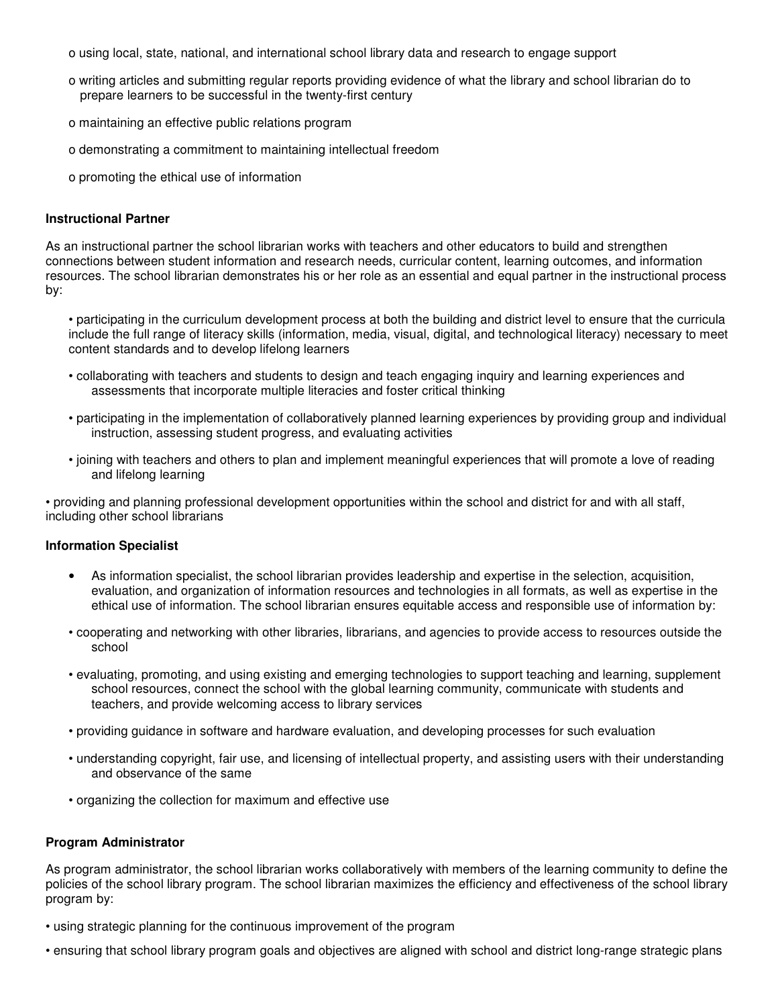- o using local, state, national, and international school library data and research to engage support
- o writing articles and submitting regular reports providing evidence of what the library and school librarian do to prepare learners to be successful in the twenty-first century
- o maintaining an effective public relations program
- o demonstrating a commitment to maintaining intellectual freedom
- o promoting the ethical use of information

#### **Instructional Partner**

As an instructional partner the school librarian works with teachers and other educators to build and strengthen connections between student information and research needs, curricular content, learning outcomes, and information resources. The school librarian demonstrates his or her role as an essential and equal partner in the instructional process by:

• participating in the curriculum development process at both the building and district level to ensure that the curricula include the full range of literacy skills (information, media, visual, digital, and technological literacy) necessary to meet content standards and to develop lifelong learners

- collaborating with teachers and students to design and teach engaging inquiry and learning experiences and assessments that incorporate multiple literacies and foster critical thinking
- participating in the implementation of collaboratively planned learning experiences by providing group and individual instruction, assessing student progress, and evaluating activities
- joining with teachers and others to plan and implement meaningful experiences that will promote a love of reading and lifelong learning

• providing and planning professional development opportunities within the school and district for and with all staff, including other school librarians

#### **Information Specialist**

- As information specialist, the school librarian provides leadership and expertise in the selection, acquisition, evaluation, and organization of information resources and technologies in all formats, as well as expertise in the ethical use of information. The school librarian ensures equitable access and responsible use of information by:
- cooperating and networking with other libraries, librarians, and agencies to provide access to resources outside the school
- evaluating, promoting, and using existing and emerging technologies to support teaching and learning, supplement school resources, connect the school with the global learning community, communicate with students and teachers, and provide welcoming access to library services
- providing guidance in software and hardware evaluation, and developing processes for such evaluation
- understanding copyright, fair use, and licensing of intellectual property, and assisting users with their understanding and observance of the same
- organizing the collection for maximum and effective use

#### **Program Administrator**

As program administrator, the school librarian works collaboratively with members of the learning community to define the policies of the school library program. The school librarian maximizes the efficiency and effectiveness of the school library program by:

- using strategic planning for the continuous improvement of the program
- ensuring that school library program goals and objectives are aligned with school and district long-range strategic plans